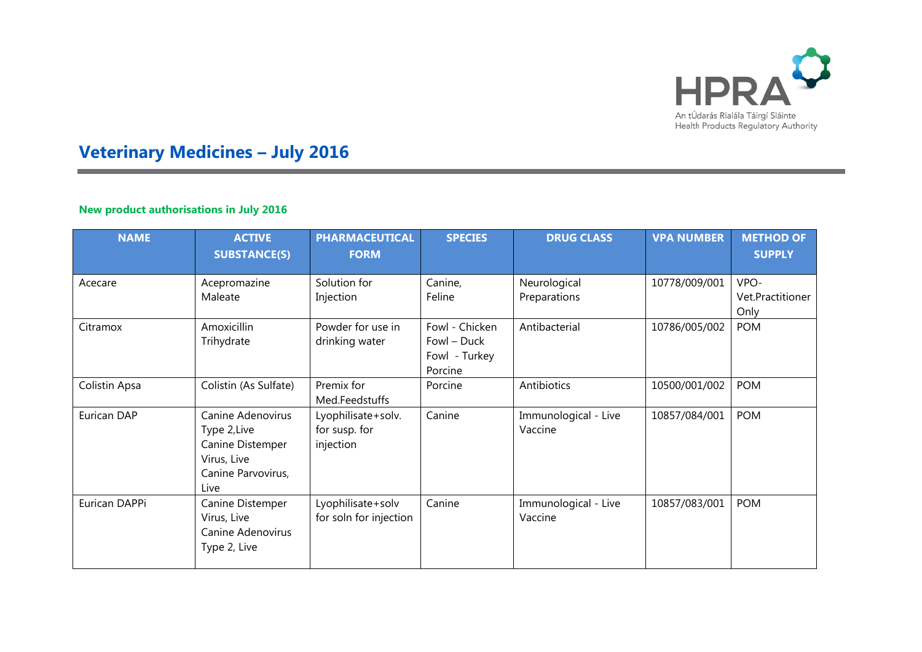

## **Veterinary Medicines – July 2016**

## **New product authorisations in July 2016**

| <b>NAME</b>   | <b>ACTIVE</b><br><b>SUBSTANCE(S)</b>                                                               | <b>PHARMACEUTICAL</b><br><b>FORM</b>             | <b>SPECIES</b>                                            | <b>DRUG CLASS</b>               | <b>VPA NUMBER</b> | <b>METHOD OF</b><br><b>SUPPLY</b> |
|---------------|----------------------------------------------------------------------------------------------------|--------------------------------------------------|-----------------------------------------------------------|---------------------------------|-------------------|-----------------------------------|
|               |                                                                                                    |                                                  |                                                           |                                 |                   |                                   |
| Acecare       | Acepromazine<br>Maleate                                                                            | Solution for<br>Injection                        | Canine,<br>Feline                                         | Neurological<br>Preparations    | 10778/009/001     | VPO-<br>Vet.Practitioner<br>Only  |
| Citramox      | Amoxicillin<br>Trihydrate                                                                          | Powder for use in<br>drinking water              | Fowl - Chicken<br>Fowl - Duck<br>Fowl - Turkey<br>Porcine | Antibacterial                   | 10786/005/002     | <b>POM</b>                        |
| Colistin Apsa | Colistin (As Sulfate)                                                                              | Premix for<br>Med.Feedstuffs                     | Porcine                                                   | Antibiotics                     | 10500/001/002     | <b>POM</b>                        |
| Eurican DAP   | Canine Adenovirus<br>Type 2, Live<br>Canine Distemper<br>Virus, Live<br>Canine Parvovirus,<br>Live | Lyophilisate+solv.<br>for susp. for<br>injection | Canine                                                    | Immunological - Live<br>Vaccine | 10857/084/001     | <b>POM</b>                        |
| Eurican DAPPi | Canine Distemper<br>Virus, Live<br>Canine Adenovirus<br>Type 2, Live                               | Lyophilisate+solv<br>for soln for injection      | Canine                                                    | Immunological - Live<br>Vaccine | 10857/083/001     | <b>POM</b>                        |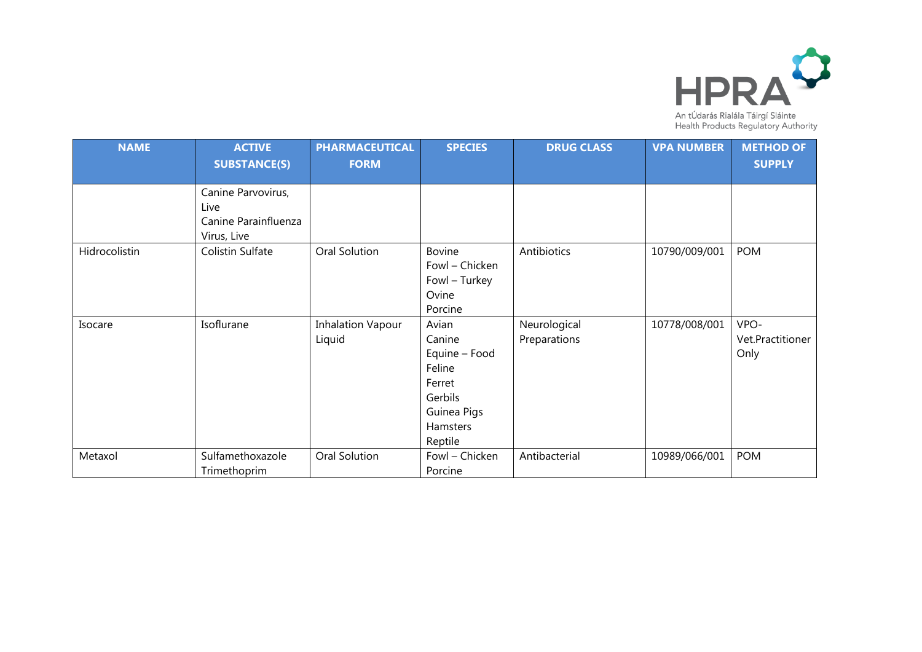

| <b>NAME</b>   | <b>ACTIVE</b><br><b>SUBSTANCE(S)</b>                              | <b>PHARMACEUTICAL</b><br><b>FORM</b> | <b>SPECIES</b>                                                                                        | <b>DRUG CLASS</b>            | <b>VPA NUMBER</b> | <b>METHOD OF</b><br><b>SUPPLY</b> |
|---------------|-------------------------------------------------------------------|--------------------------------------|-------------------------------------------------------------------------------------------------------|------------------------------|-------------------|-----------------------------------|
|               | Canine Parvovirus,<br>Live<br>Canine Parainfluenza<br>Virus, Live |                                      |                                                                                                       |                              |                   |                                   |
| Hidrocolistin | Colistin Sulfate                                                  | Oral Solution                        | Bovine<br>Fowl - Chicken<br>Fowl - Turkey<br>Ovine<br>Porcine                                         | Antibiotics                  | 10790/009/001     | <b>POM</b>                        |
| Isocare       | Isoflurane                                                        | <b>Inhalation Vapour</b><br>Liquid   | Avian<br>Canine<br>Equine - Food<br>Feline<br>Ferret<br>Gerbils<br>Guinea Pigs<br>Hamsters<br>Reptile | Neurological<br>Preparations | 10778/008/001     | VPO-<br>Vet.Practitioner<br>Only  |
| Metaxol       | Sulfamethoxazole<br>Trimethoprim                                  | Oral Solution                        | Fowl - Chicken<br>Porcine                                                                             | Antibacterial                | 10989/066/001     | <b>POM</b>                        |